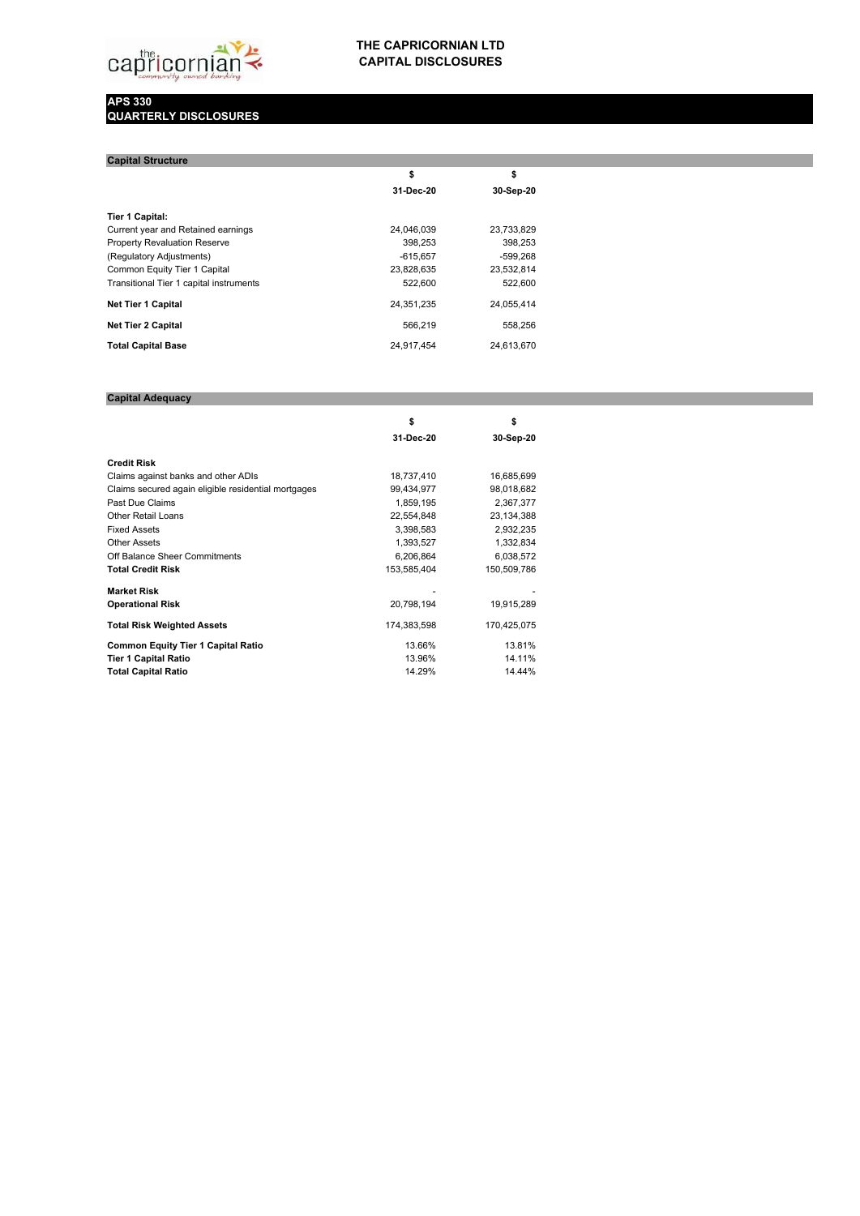

## **THE CAPRICORNIAN LTD CAPITAL DISCLOSURES**

## **APS 330 QUARTERLY DISCLOSURES**

| <b>Capital Structure</b>                |            |            |
|-----------------------------------------|------------|------------|
|                                         | \$         | \$         |
|                                         | 31-Dec-20  | 30-Sep-20  |
| <b>Tier 1 Capital:</b>                  |            |            |
| Current year and Retained earnings      | 24.046.039 | 23,733,829 |
| <b>Property Revaluation Reserve</b>     | 398.253    | 398.253    |
| (Regulatory Adjustments)                | $-615.657$ | $-599.268$ |
| Common Equity Tier 1 Capital            | 23.828.635 | 23.532.814 |
| Transitional Tier 1 capital instruments | 522,600    | 522,600    |
| <b>Net Tier 1 Capital</b>               | 24.351.235 | 24,055,414 |
| <b>Net Tier 2 Capital</b>               | 566.219    | 558,256    |
| <b>Total Capital Base</b>               | 24.917.454 | 24.613.670 |

## **Capital Adequacy**

|                                                     | \$          | \$          |
|-----------------------------------------------------|-------------|-------------|
|                                                     | 31-Dec-20   | 30-Sep-20   |
| <b>Credit Risk</b>                                  |             |             |
| Claims against banks and other ADIs                 | 18,737,410  | 16,685,699  |
| Claims secured again eligible residential mortgages | 99,434,977  | 98,018,682  |
| Past Due Claims                                     | 1,859,195   | 2,367,377   |
| <b>Other Retail Loans</b>                           | 22,554,848  | 23,134,388  |
| <b>Fixed Assets</b>                                 | 3,398,583   | 2,932,235   |
| <b>Other Assets</b>                                 | 1,393,527   | 1,332,834   |
| Off Balance Sheer Commitments                       | 6,206,864   | 6,038,572   |
| <b>Total Credit Risk</b>                            | 153,585,404 | 150,509,786 |
| <b>Market Risk</b>                                  |             |             |
| <b>Operational Risk</b>                             | 20,798,194  | 19,915,289  |
| <b>Total Risk Weighted Assets</b>                   | 174,383,598 | 170,425,075 |
| <b>Common Equity Tier 1 Capital Ratio</b>           | 13.66%      | 13.81%      |
| <b>Tier 1 Capital Ratio</b>                         | 13.96%      | 14.11%      |
| <b>Total Capital Ratio</b>                          | 14.29%      | 14.44%      |